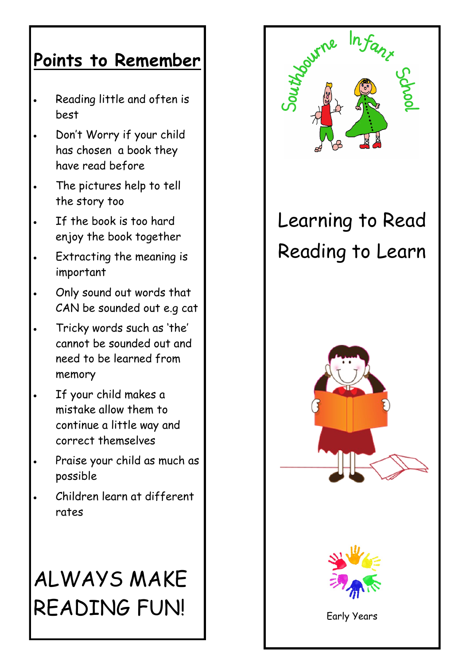## **Points to Remember**

- Reading little and often is best
- Don't Worry if your child has chosen a book they have read before
- The pictures help to tell the story too
- If the book is too hard enjoy the book together
- Extracting the meaning is important
- Only sound out words that CAN be sounded out e.g cat
- Tricky words such as 'the' cannot be sounded out and need to be learned from memory
- If your child makes a mistake allow them to continue a little way and correct themselves
- Praise your child as much as possible
- Children learn at different rates

# ALWAYS MAKE READING FUN!